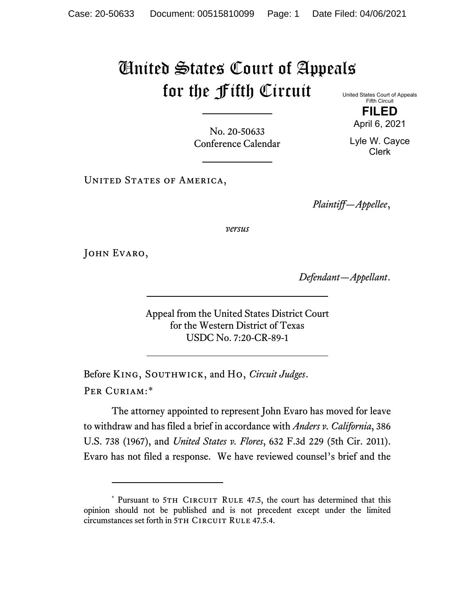## United States Court of Appeals for the Fifth Circuit

United States Court of Appeals Fifth Circuit **FILED**

Lyle W. Cayce Clerk

April 6, 2021

No. 20-50633 Conference Calendar

UNITED STATES OF AMERICA,

*Plaintiff—Appellee*,

*versus*

JOHN EVARO,

*Defendant—Appellant*.

Appeal from the United States District Court for the Western District of Texas USDC No. 7:20-CR-89-1

Before King, Southwick, and Ho, *Circuit Judges*. Per Curiam:[\\*](#page-0-0)

The attorney appointed to represent John Evaro has moved for leave to withdraw and has filed a brief in accordance with *Anders v. California*, 386 U.S. 738 (1967), and *United States v. Flores*, 632 F.3d 229 (5th Cir. 2011). Evaro has not filed a response. We have reviewed counsel's brief and the

<span id="page-0-0"></span><sup>\*</sup> Pursuant to 5TH CIRCUIT RULE 47.5, the court has determined that this opinion should not be published and is not precedent except under the limited circumstances set forth in 5TH CIRCUIT RULE 47.5.4.